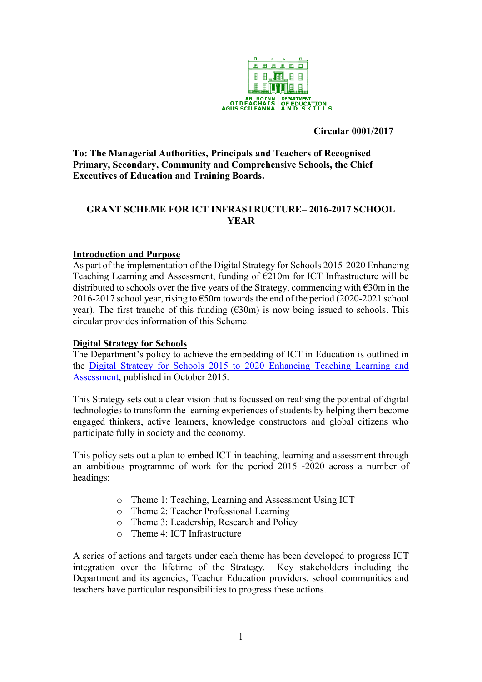

#### **Circular 0001/2017**

**To: The Managerial Authorities, Principals and Teachers of Recognised Primary, Secondary, Community and Comprehensive Schools, the Chief Executives of Education and Training Boards.**

### **GRANT SCHEME FOR ICT INFRASTRUCTURE– 2016-2017 SCHOOL YEAR**

#### **Introduction and Purpose**

As part of the implementation of the Digital Strategy for Schools 2015-2020 Enhancing Teaching Learning and Assessment, funding of  $E210m$  for ICT Infrastructure will be distributed to schools over the five years of the Strategy, commencing with €30m in the 2016-2017 school year, rising to  $\epsilon$ 50m towards the end of the period (2020-2021 school year). The first tranche of this funding  $(\text{\textsterling}30m)$  is now being issued to schools. This circular provides information of this Scheme.

#### **Digital Strategy for Schools**

The Department's policy to achieve the embedding of ICT in Education is outlined in the [Digital Strategy for Schools 2015 to 2020 Enhancing Teaching Learning and](https://www.education.ie/en/Publications/Policy-Reports/Digital-Strategy-for-Schools-2015-2020.pdf)  [Assessment,](https://www.education.ie/en/Publications/Policy-Reports/Digital-Strategy-for-Schools-2015-2020.pdf) published in October 2015.

This Strategy sets out a clear vision that is focussed on realising the potential of digital technologies to transform the learning experiences of students by helping them become engaged thinkers, active learners, knowledge constructors and global citizens who participate fully in society and the economy.

This policy sets out a plan to embed ICT in teaching, learning and assessment through an ambitious programme of work for the period 2015 -2020 across a number of headings:

- o Theme 1: Teaching, Learning and Assessment Using ICT
- o Theme 2: Teacher Professional Learning
- o Theme 3: Leadership, Research and Policy
- o Theme 4: ICT Infrastructure

A series of actions and targets under each theme has been developed to progress ICT integration over the lifetime of the Strategy. Key stakeholders including the Department and its agencies, Teacher Education providers, school communities and teachers have particular responsibilities to progress these actions.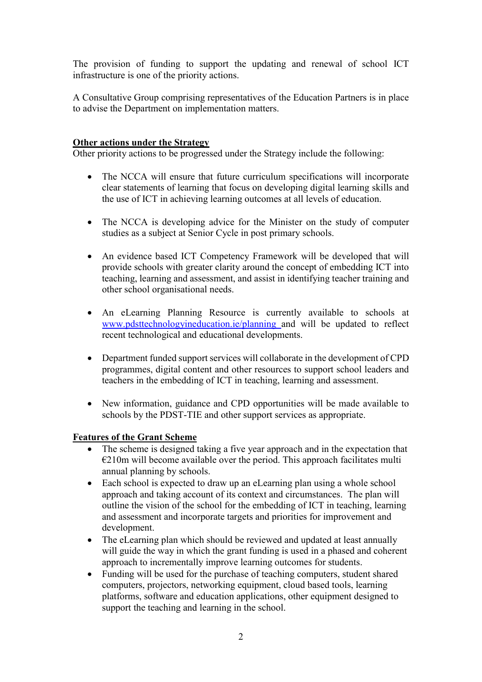The provision of funding to support the updating and renewal of school ICT infrastructure is one of the priority actions.

A Consultative Group comprising representatives of the Education Partners is in place to advise the Department on implementation matters.

### **Other actions under the Strategy**

Other priority actions to be progressed under the Strategy include the following:

- The NCCA will ensure that future curriculum specifications will incorporate clear statements of learning that focus on developing digital learning skills and the use of ICT in achieving learning outcomes at all levels of education.
- The NCCA is developing advice for the Minister on the study of computer studies as a subject at Senior Cycle in post primary schools.
- An evidence based ICT Competency Framework will be developed that will provide schools with greater clarity around the concept of embedding ICT into teaching, learning and assessment, and assist in identifying teacher training and other school organisational needs.
- An eLearning Planning Resource is currently available to schools at [www.pdsttechnologyineducation.ie/planning](http://www.pdsttechnologyineducation.ie/planning) and will be updated to reflect recent technological and educational developments.
- Department funded support services will collaborate in the development of CPD programmes, digital content and other resources to support school leaders and teachers in the embedding of ICT in teaching, learning and assessment.
- New information, guidance and CPD opportunities will be made available to schools by the PDST-TIE and other support services as appropriate.

# **Features of the Grant Scheme**

- The scheme is designed taking a five year approach and in the expectation that  $E210m$  will become available over the period. This approach facilitates multi annual planning by schools.
- Each school is expected to draw up an eLearning plan using a whole school approach and taking account of its context and circumstances. The plan will outline the vision of the school for the embedding of ICT in teaching, learning and assessment and incorporate targets and priorities for improvement and development.
- The eLearning plan which should be reviewed and updated at least annually will guide the way in which the grant funding is used in a phased and coherent approach to incrementally improve learning outcomes for students.
- Funding will be used for the purchase of teaching computers, student shared computers, projectors, networking equipment, cloud based tools, learning platforms, software and education applications, other equipment designed to support the teaching and learning in the school.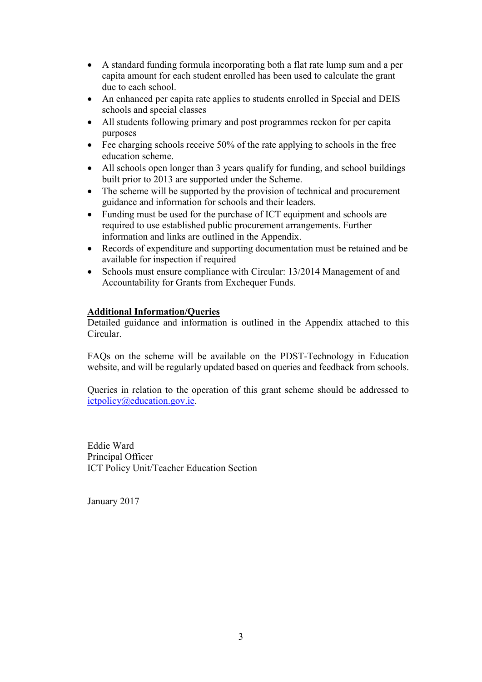- A standard funding formula incorporating both a flat rate lump sum and a per capita amount for each student enrolled has been used to calculate the grant due to each school.
- An enhanced per capita rate applies to students enrolled in Special and DEIS schools and special classes
- All students following primary and post programmes reckon for per capita purposes
- $\bullet$  Fee charging schools receive 50% of the rate applying to schools in the free education scheme.
- All schools open longer than 3 years qualify for funding, and school buildings built prior to 2013 are supported under the Scheme.
- The scheme will be supported by the provision of technical and procurement guidance and information for schools and their leaders.
- Funding must be used for the purchase of ICT equipment and schools are required to use established public procurement arrangements. Further information and links are outlined in the Appendix.
- Records of expenditure and supporting documentation must be retained and be available for inspection if required
- Schools must ensure compliance with Circular: 13/2014 Management of and Accountability for Grants from Exchequer Funds.

### **Additional Information/Queries**

Detailed guidance and information is outlined in the Appendix attached to this Circular.

FAQs on the scheme will be available on the PDST-Technology in Education website, and will be regularly updated based on queries and feedback from schools.

Queries in relation to the operation of this grant scheme should be addressed to [ictpolicy@education.gov.ie.](mailto:ictpolicy@education.gov.ie)

Eddie Ward Principal Officer ICT Policy Unit/Teacher Education Section

January 2017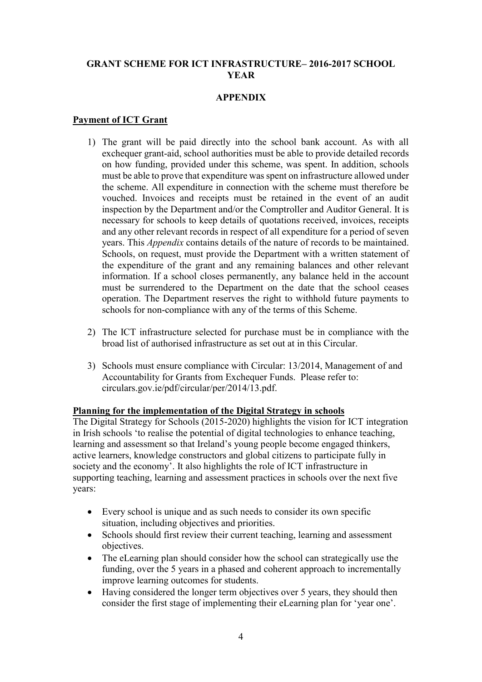#### **GRANT SCHEME FOR ICT INFRASTRUCTURE– 2016-2017 SCHOOL YEAR**

### **APPENDIX**

#### **Payment of ICT Grant**

- 1) The grant will be paid directly into the school bank account. As with all exchequer grant-aid, school authorities must be able to provide detailed records on how funding, provided under this scheme, was spent. In addition, schools must be able to prove that expenditure was spent on infrastructure allowed under the scheme. All expenditure in connection with the scheme must therefore be vouched. Invoices and receipts must be retained in the event of an audit inspection by the Department and/or the Comptroller and Auditor General. It is necessary for schools to keep details of quotations received, invoices, receipts and any other relevant records in respect of all expenditure for a period of seven years. This *Appendix* contains details of the nature of records to be maintained. Schools, on request, must provide the Department with a written statement of the expenditure of the grant and any remaining balances and other relevant information. If a school closes permanently, any balance held in the account must be surrendered to the Department on the date that the school ceases operation. The Department reserves the right to withhold future payments to schools for non-compliance with any of the terms of this Scheme.
- 2) The ICT infrastructure selected for purchase must be in compliance with the broad list of authorised infrastructure as set out at in this Circular.
- 3) Schools must ensure compliance with Circular: 13/2014, Management of and Accountability for Grants from Exchequer Funds. Please refer to: circulars.gov.ie/pdf/circular/per/2014/13.pdf.

#### **Planning for the implementation of the Digital Strategy in schools**

The Digital Strategy for Schools (2015-2020) highlights the vision for ICT integration in Irish schools 'to realise the potential of digital technologies to enhance teaching, learning and assessment so that Ireland's young people become engaged thinkers, active learners, knowledge constructors and global citizens to participate fully in society and the economy'. It also highlights the role of ICT infrastructure in supporting teaching, learning and assessment practices in schools over the next five years:

- Every school is unique and as such needs to consider its own specific situation, including objectives and priorities.
- Schools should first review their current teaching, learning and assessment objectives.
- The eLearning plan should consider how the school can strategically use the funding, over the 5 years in a phased and coherent approach to incrementally improve learning outcomes for students.
- Having considered the longer term objectives over 5 years, they should then consider the first stage of implementing their eLearning plan for 'year one'.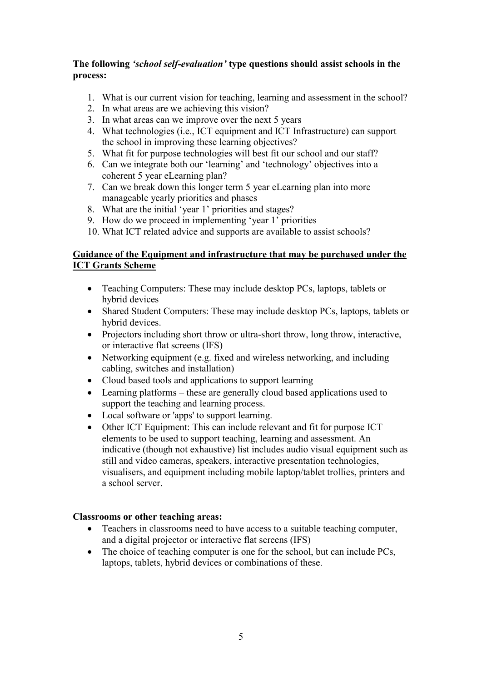### **The following** *'school self-evaluation'* **type questions should assist schools in the process:**

- 1. What is our current vision for teaching, learning and assessment in the school?
- 2. In what areas are we achieving this vision?
- 3. In what areas can we improve over the next 5 years
- 4. What technologies (i.e., ICT equipment and ICT Infrastructure) can support the school in improving these learning objectives?
- 5. What fit for purpose technologies will best fit our school and our staff?
- 6. Can we integrate both our 'learning' and 'technology' objectives into a coherent 5 year eLearning plan?
- 7. Can we break down this longer term 5 year eLearning plan into more manageable yearly priorities and phases
- 8. What are the initial 'year 1' priorities and stages?
- 9. How do we proceed in implementing 'year 1' priorities
- 10. What ICT related advice and supports are available to assist schools?

# **Guidance of the Equipment and infrastructure that may be purchased under the ICT Grants Scheme**

- Teaching Computers: These may include desktop PCs, laptops, tablets or hybrid devices
- Shared Student Computers: These may include desktop PCs, laptops, tablets or hybrid devices.
- Projectors including short throw or ultra-short throw, long throw, interactive, or interactive flat screens (IFS)
- Networking equipment (e.g. fixed and wireless networking, and including cabling, switches and installation)
- Cloud based tools and applications to support learning
- Learning platforms these are generally cloud based applications used to support the teaching and learning process.
- Local software or 'apps' to support learning.
- Other ICT Equipment: This can include relevant and fit for purpose ICT elements to be used to support teaching, learning and assessment. An indicative (though not exhaustive) list includes audio visual equipment such as still and video cameras, speakers, interactive presentation technologies, visualisers, and equipment including mobile laptop/tablet trollies, printers and a school server.

# **Classrooms or other teaching areas:**

- Teachers in classrooms need to have access to a suitable teaching computer, and a digital projector or interactive flat screens (IFS)
- The choice of teaching computer is one for the school, but can include PCs, laptops, tablets, hybrid devices or combinations of these.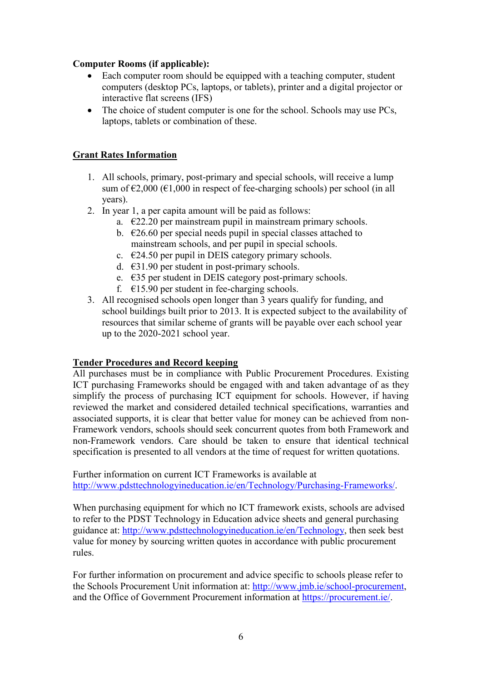# **Computer Rooms (if applicable):**

- Each computer room should be equipped with a teaching computer, student computers (desktop PCs, laptops, or tablets), printer and a digital projector or interactive flat screens (IFS)
- The choice of student computer is one for the school. Schools may use PCs, laptops, tablets or combination of these.

# **Grant Rates Information**

- 1. All schools, primary, post-primary and special schools, will receive a lump sum of  $\epsilon$ 2,000 ( $\epsilon$ 1,000 in respect of fee-charging schools) per school (in all years).
- 2. In year 1, a per capita amount will be paid as follows:
	- a.  $\epsilon$ 22.20 per mainstream pupil in mainstream primary schools.
		- b.  $\epsilon$ 26.60 per special needs pupil in special classes attached to mainstream schools, and per pupil in special schools.
		- c.  $\epsilon$ 24.50 per pupil in DEIS category primary schools.
		- d. €31.90 per student in post-primary schools.
		- e. €35 per student in DEIS category post-primary schools.
		- f.  $\epsilon$ 15.90 per student in fee-charging schools.
- 3. All recognised schools open longer than 3 years qualify for funding, and school buildings built prior to 2013. It is expected subject to the availability of resources that similar scheme of grants will be payable over each school year up to the 2020-2021 school year.

# **Tender Procedures and Record keeping**

All purchases must be in compliance with Public Procurement Procedures. Existing ICT purchasing Frameworks should be engaged with and taken advantage of as they simplify the process of purchasing ICT equipment for schools. However, if having reviewed the market and considered detailed technical specifications, warranties and associated supports, it is clear that better value for money can be achieved from non-Framework vendors, schools should seek concurrent quotes from both Framework and non-Framework vendors. Care should be taken to ensure that identical technical specification is presented to all vendors at the time of request for written quotations.

Further information on current ICT Frameworks is available at [http://www.pdsttechnologyineducation.ie/en/Technology/Purchasing-Frameworks/.](http://www.pdsttechnologyineducation.ie/en/Technology/Purchasing-Frameworks/)

When purchasing equipment for which no ICT framework exists, schools are advised to refer to the PDST Technology in Education advice sheets and general purchasing guidance at: [http://www.pdsttechnologyineducation.ie/en/Technology,](http://www.pdsttechnologyineducation.ie/en/Technology) then seek best value for money by sourcing written quotes in accordance with public procurement rules.

For further information on procurement and advice specific to schools please refer to the Schools Procurement Unit information at: [http://www.jmb.ie/school-procurement,](http://www.jmb.ie/school-procurement) and the Office of Government Procurement information at [https://procurement.ie/.](https://procurement.ie/)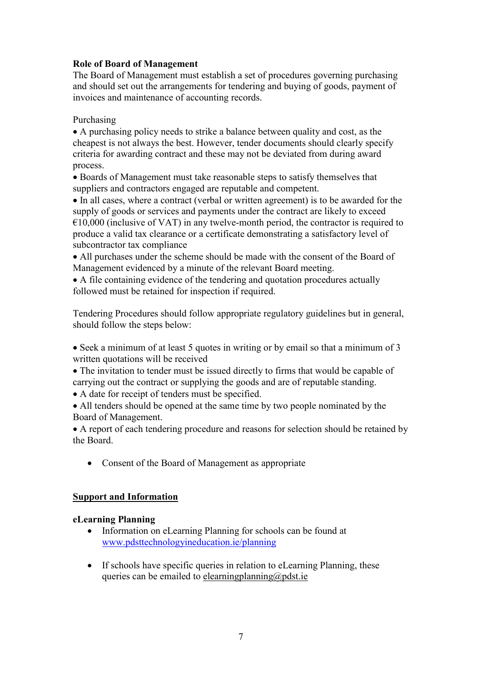# **Role of Board of Management**

The Board of Management must establish a set of procedures governing purchasing and should set out the arrangements for tendering and buying of goods, payment of invoices and maintenance of accounting records.

Purchasing

 A purchasing policy needs to strike a balance between quality and cost, as the cheapest is not always the best. However, tender documents should clearly specify criteria for awarding contract and these may not be deviated from during award process.

 Boards of Management must take reasonable steps to satisfy themselves that suppliers and contractors engaged are reputable and competent.

• In all cases, where a contract (verbal or written agreement) is to be awarded for the supply of goods or services and payments under the contract are likely to exceed  $€10,000$  (inclusive of VAT) in any twelve-month period, the contractor is required to produce a valid tax clearance or a certificate demonstrating a satisfactory level of subcontractor tax compliance

 All purchases under the scheme should be made with the consent of the Board of Management evidenced by a minute of the relevant Board meeting.

 A file containing evidence of the tendering and quotation procedures actually followed must be retained for inspection if required.

Tendering Procedures should follow appropriate regulatory guidelines but in general, should follow the steps below:

 Seek a minimum of at least 5 quotes in writing or by email so that a minimum of 3 written quotations will be received

• The invitation to tender must be issued directly to firms that would be capable of carrying out the contract or supplying the goods and are of reputable standing.

A date for receipt of tenders must be specified.

 All tenders should be opened at the same time by two people nominated by the Board of Management.

 A report of each tendering procedure and reasons for selection should be retained by the Board.

• Consent of the Board of Management as appropriate

# **Support and Information**

#### **eLearning Planning**

- Information on eLearning Planning for schools can be found at [www.pdsttechnologyineducation.ie/planning](http://www.pdsttechnologyineducation.ie/planning)
- If schools have specific queries in relation to eLearning Planning, these queries can be emailed to [elearningplanning@pdst.ie](mailto:elearningplanning@pdst.ie)